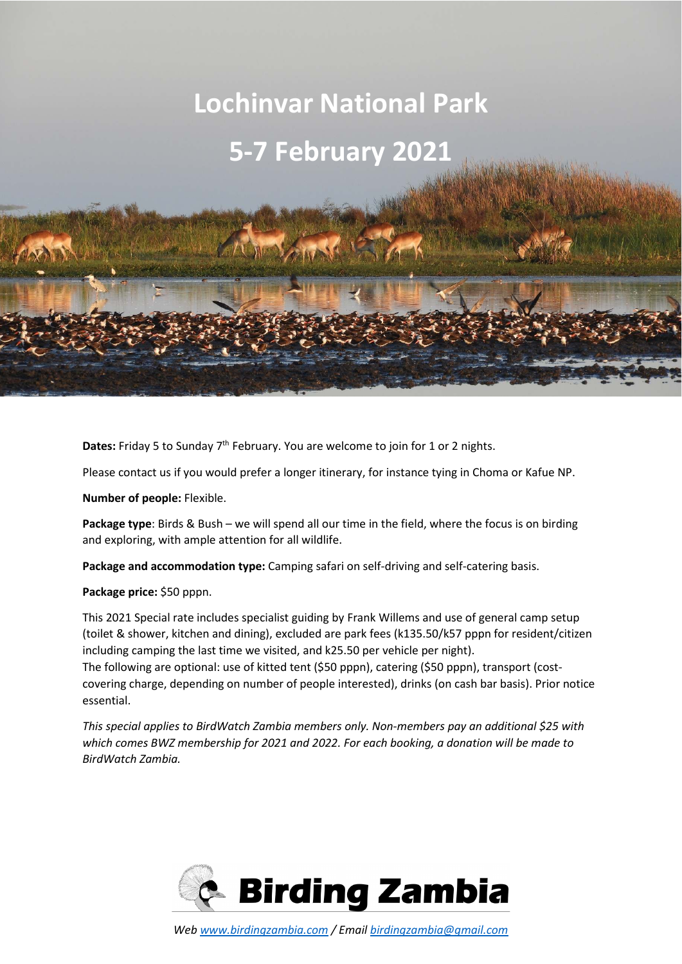## **Lochinvar National Park**

# **5-7 February 2021**

**Dates:** Friday 5 to Sunday 7<sup>th</sup> February. You are welcome to join for 1 or 2 nights.

Please contact us if you would prefer a longer itinerary, for instance tying in Choma or Kafue NP.

**Number of people:** Flexible.

**Package type**: Birds & Bush – we will spend all our time in the field, where the focus is on birding and exploring, with ample attention for all wildlife.

**Package and accommodation type:** Camping safari on self-driving and self-catering basis.

**Package price:** \$50 pppn.

This 2021 Special rate includes specialist guiding by Frank Willems and use of general camp setup (toilet & shower, kitchen and dining), excluded are park fees (k135.50/k57 pppn for resident/citizen including camping the last time we visited, and k25.50 per vehicle per night). The following are optional: use of kitted tent (\$50 pppn), catering (\$50 pppn), transport (costcovering charge, depending on number of people interested), drinks (on cash bar basis). Prior notice essential.

*This special applies to BirdWatch Zambia members only. Non-members pay an additional \$25 with which comes BWZ membership for 2021 and 2022. For each booking, a donation will be made to BirdWatch Zambia.* 

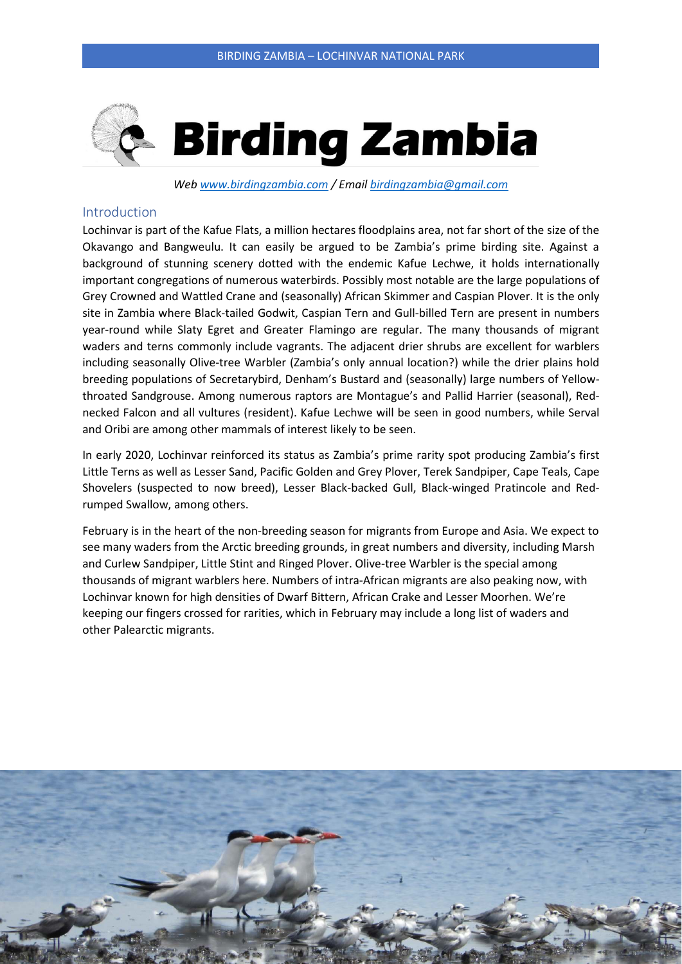

*Web www.birdingzambia.com / Email birdingzambia@gmail.com* 

#### Introduction

Lochinvar is part of the Kafue Flats, a million hectares floodplains area, not far short of the size of the Okavango and Bangweulu. It can easily be argued to be Zambia's prime birding site. Against a background of stunning scenery dotted with the endemic Kafue Lechwe, it holds internationally important congregations of numerous waterbirds. Possibly most notable are the large populations of Grey Crowned and Wattled Crane and (seasonally) African Skimmer and Caspian Plover. It is the only site in Zambia where Black-tailed Godwit, Caspian Tern and Gull-billed Tern are present in numbers year-round while Slaty Egret and Greater Flamingo are regular. The many thousands of migrant waders and terns commonly include vagrants. The adjacent drier shrubs are excellent for warblers including seasonally Olive-tree Warbler (Zambia's only annual location?) while the drier plains hold breeding populations of Secretarybird, Denham's Bustard and (seasonally) large numbers of Yellowthroated Sandgrouse. Among numerous raptors are Montague's and Pallid Harrier (seasonal), Rednecked Falcon and all vultures (resident). Kafue Lechwe will be seen in good numbers, while Serval and Oribi are among other mammals of interest likely to be seen.

In early 2020, Lochinvar reinforced its status as Zambia's prime rarity spot producing Zambia's first Little Terns as well as Lesser Sand, Pacific Golden and Grey Plover, Terek Sandpiper, Cape Teals, Cape Shovelers (suspected to now breed), Lesser Black-backed Gull, Black-winged Pratincole and Redrumped Swallow, among others.

February is in the heart of the non-breeding season for migrants from Europe and Asia. We expect to see many waders from the Arctic breeding grounds, in great numbers and diversity, including Marsh and Curlew Sandpiper, Little Stint and Ringed Plover. Olive-tree Warbler is the special among thousands of migrant warblers here. Numbers of intra-African migrants are also peaking now, with Lochinvar known for high densities of Dwarf Bittern, African Crake and Lesser Moorhen. We're keeping our fingers crossed for rarities, which in February may include a long list of waders and other Palearctic migrants.

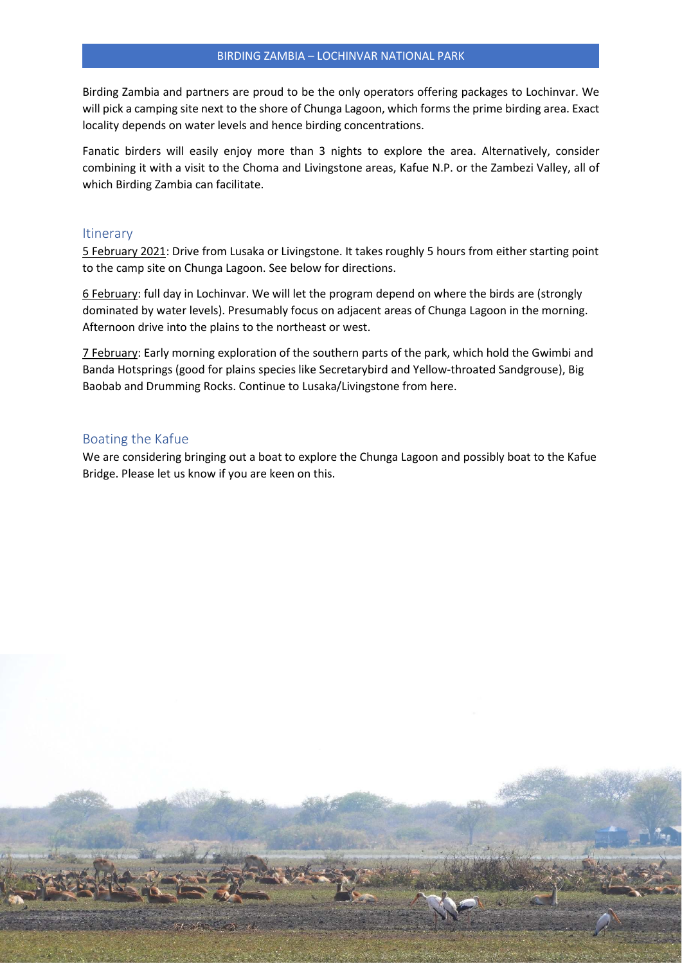Birding Zambia and partners are proud to be the only operators offering packages to Lochinvar. We will pick a camping site next to the shore of Chunga Lagoon, which forms the prime birding area. Exact locality depends on water levels and hence birding concentrations.

Fanatic birders will easily enjoy more than 3 nights to explore the area. Alternatively, consider combining it with a visit to the Choma and Livingstone areas, Kafue N.P. or the Zambezi Valley, all of which Birding Zambia can facilitate.

#### **Itinerary**

5 February 2021: Drive from Lusaka or Livingstone. It takes roughly 5 hours from either starting point to the camp site on Chunga Lagoon. See below for directions.

6 February: full day in Lochinvar. We will let the program depend on where the birds are (strongly dominated by water levels). Presumably focus on adjacent areas of Chunga Lagoon in the morning. Afternoon drive into the plains to the northeast or west.

7 February: Early morning exploration of the southern parts of the park, which hold the Gwimbi and Banda Hotsprings (good for plains species like Secretarybird and Yellow-throated Sandgrouse), Big Baobab and Drumming Rocks. Continue to Lusaka/Livingstone from here.

#### Boating the Kafue

We are considering bringing out a boat to explore the Chunga Lagoon and possibly boat to the Kafue Bridge. Please let us know if you are keen on this.

*Web www.birdingzambia.com / Email birdingzambia@gmail.com*